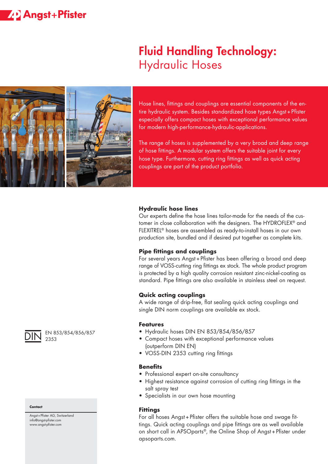## **ZP** Angst+Pfister

# Fluid Handling Technology: Hydraulic Hoses



Hose lines, fittings and couplings are essential components of the entire hydraulic system. Besides standardized hose types Angst+Pfister especially offers compact hoses with exceptional performance values for modern high-performance-hydraulic-applications.

The range of hoses is supplemented by a very broad and deep range of hose fittings. A modular system offers the suitable joint for every hose type. Furthermore, cutting ring fittings as well as quick acting couplings are part of the product portfolio.

#### **Hydraulic hose lines**

Our experts define the hose lines tailor-made for the needs of the customer in close collaboration with the designers. The HYDROFLEX® and FLEXITREL® hoses are assembled as ready-to-install hoses in our own production site, bundled and if desired put together as complete kits.

### **Pipe fittings and couplings**

For several years Angst+Pfister has been offering a broad and deep range of VOSS-cutting ring fittings ex stock. The whole product program is protected by a high quality corrosion resistant zinc-nickel-coating as standard. Pipe fittings are also available in stainless steel on request.

#### **Quick acting couplings**

A wide range of drip-free, flat sealing quick acting couplings and single DIN norm couplings are available ex stock.

#### **Features**

- Hydraulic hoses DIN EN 853/854/856/857
- Compact hoses with exceptional performance values (outperform DIN EN)
- VOSS-DIN 2353 cutting ring fittings

#### **Benefits**

- Professional expert on-site consultancy
- Highest resistance against corrosion of cutting ring fittings in the salt spray test
- Specialists in our own hose mounting

#### **Fittings**

For all hoses Angst+Pfister offers the suitable hose and swage fittings. Quick acting couplings and pipe fittings are as well available on short call in APSOparts®, the Online Shop of Angst+Pfister under apsoparts.com.



EN 853/854/856/857 2353

#### **Contact**

Angst+Pfister AG, Switzerland info@angst-pfister.com www.angst-pfister.com